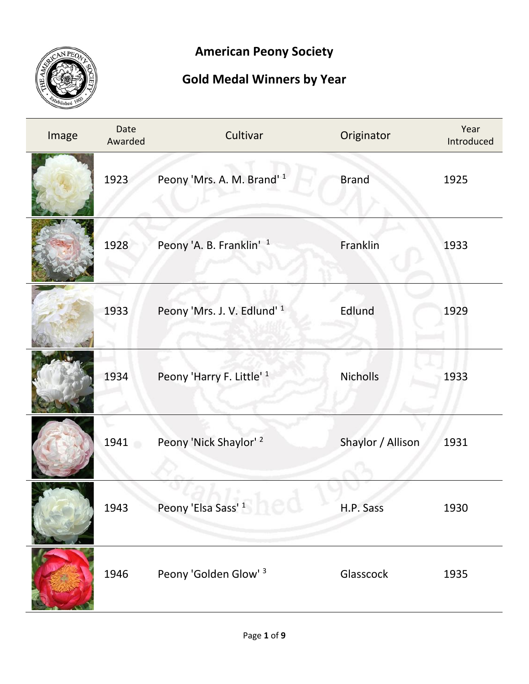

## **American Peony Society**

## **Gold Medal Winners by Year**

| Image | Date<br>Awarded | Cultivar                            | Originator        | Year<br>Introduced |
|-------|-----------------|-------------------------------------|-------------------|--------------------|
|       | 1923            | Peony 'Mrs. A. M. Brand' 1          | <b>Brand</b>      | 1925               |
|       | 1928            | Peony 'A. B. Franklin' <sup>1</sup> | Franklin          | 1933               |
|       | 1933            | Peony 'Mrs. J. V. Edlund' 1         | Edlund            | 1929               |
|       | 1934            | Peony 'Harry F. Little' 1           | <b>Nicholls</b>   | 1933               |
|       | 1941            | Peony 'Nick Shaylor' 2              | Shaylor / Allison | 1931               |
|       | 1943            | Peony 'Elsa Sass' <sup>1</sup>      | H.P. Sass         | 1930               |
|       | 1946            | Peony 'Golden Glow' 3               | Glasscock         | 1935               |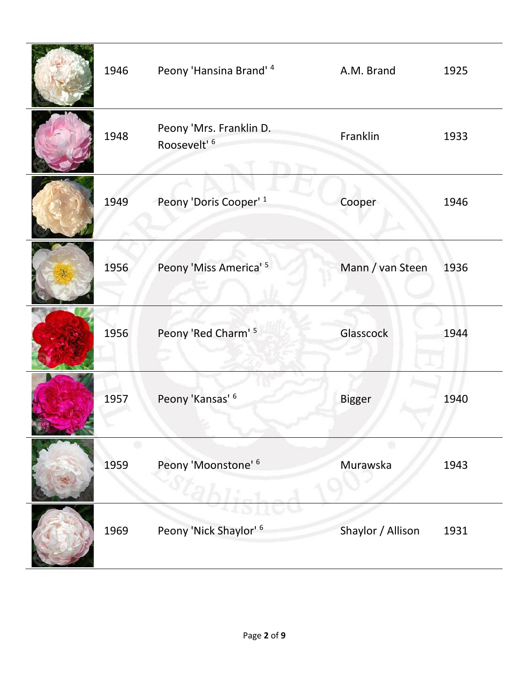| 1946 | Peony 'Hansina Brand' 4                            | A.M. Brand        | 1925 |
|------|----------------------------------------------------|-------------------|------|
| 1948 | Peony 'Mrs. Franklin D.<br>Roosevelt' <sup>6</sup> | Franklin          | 1933 |
| 1949 | Peony 'Doris Cooper' <sup>1</sup>                  | Cooper            | 1946 |
| 1956 | Peony 'Miss America' 5                             | Mann / van Steen  | 1936 |
| 1956 | Peony 'Red Charm' 5                                | Glasscock         | 1944 |
| 1957 | Peony 'Kansas' 6                                   | <b>Bigger</b>     | 1940 |
| 1959 | Peony 'Moonstone' 6                                | Murawska          | 1943 |
| 1969 | Peony 'Nick Shaylor' <sup>6</sup>                  | Shaylor / Allison | 1931 |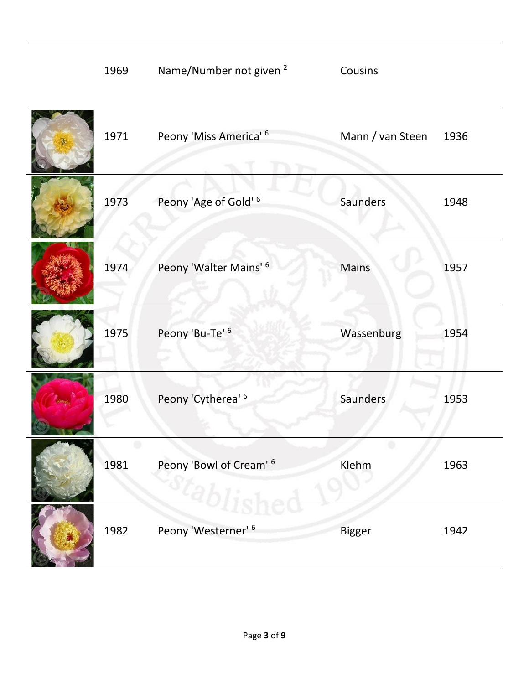| 1969 | Name/Number not given <sup>2</sup> | Cousins          |      |
|------|------------------------------------|------------------|------|
| 1971 | Peony 'Miss America' 6             | Mann / van Steen | 1936 |
| 1973 | Peony 'Age of Gold' 6              | Saunders         | 1948 |
| 1974 | Peony 'Walter Mains' 6             | Mains            | 1957 |
| 1975 | Peony 'Bu-Te' 6                    | Wassenburg       | 1954 |
| 1980 | Peony 'Cytherea' 6                 | Saunders         | 1953 |
| 1981 | Peony 'Bowl of Cream' <sup>6</sup> | Klehm            | 1963 |
|      |                                    |                  |      |
| 1982 | Peony 'Westerner' <sup>6</sup>     | <b>Bigger</b>    | 1942 |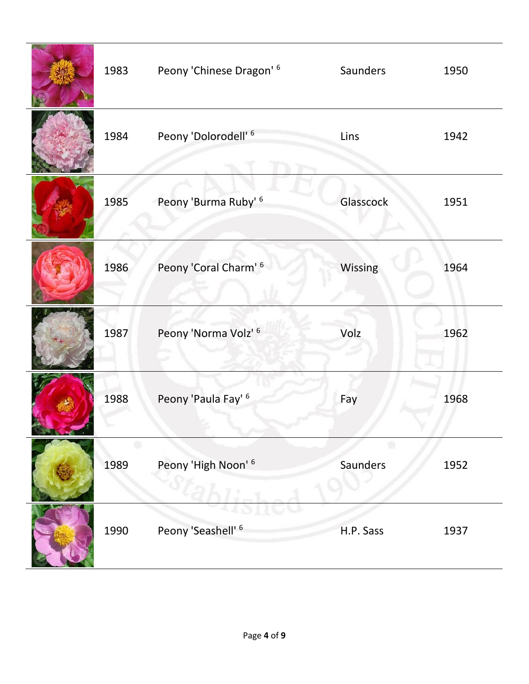| 1983 | Peony 'Chinese Dragon' <sup>6</sup> | Saunders  | 1950 |
|------|-------------------------------------|-----------|------|
| 1984 | Peony 'Dolorodell' <sup>6</sup>     | Lins      | 1942 |
| 1985 | Peony 'Burma Ruby' 6                | Glasscock | 1951 |
| 1986 | Peony 'Coral Charm' <sup>6</sup>    | Wissing   | 1964 |
| 1987 | Peony 'Norma Volz' 6                | Volz      | 1962 |
| 1988 | Peony 'Paula Fay' <sup>6</sup>      | Fay       | 1968 |
| 1989 | Peony 'High Noon' 6                 | Saunders  | 1952 |
| 1990 | Peony 'Seashell' <sup>6</sup>       | H.P. Sass | 1937 |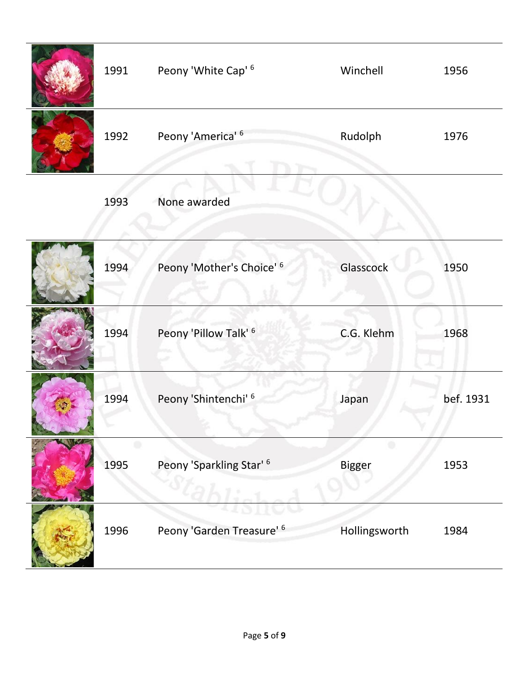| 1991 | Peony 'White Cap' <sup>6</sup>       | Winchell           | 1956      |
|------|--------------------------------------|--------------------|-----------|
| 1992 | Peony 'America' <sup>6</sup>         | Rudolph            | 1976      |
| 1993 | None awarded                         |                    |           |
| 1994 | Peony 'Mother's Choice' 6            | Glasscock          | 1950      |
| 1994 | Peony 'Pillow Talk' <sup>6</sup>     | C.G. Klehm         | 1968      |
| 1994 | Peony 'Shintenchi' 6                 | Japan              | bef. 1931 |
| 1995 | Peony 'Sparkling Star' <sup>6</sup>  | ۰<br><b>Bigger</b> | 1953      |
| 1996 | Peony 'Garden Treasure' <sup>6</sup> | Hollingsworth      | 1984      |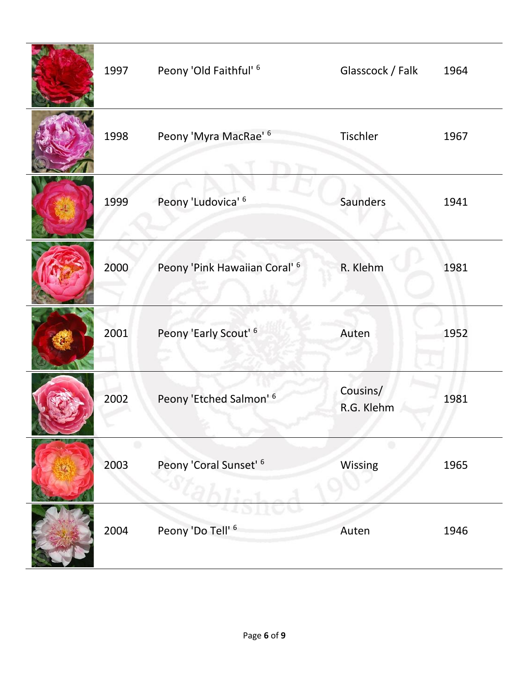| 1997 | Peony 'Old Faithful' <sup>6</sup>        | Glasscock / Falk       | 1964 |
|------|------------------------------------------|------------------------|------|
| 1998 | Peony 'Myra MacRae' <sup>6</sup>         | Tischler               | 1967 |
| 1999 | Peony 'Ludovica' 6                       | Saunders               | 1941 |
| 2000 | Peony 'Pink Hawaiian Coral' <sup>6</sup> | R. Klehm               | 1981 |
| 2001 | Peony 'Early Scout' <sup>6</sup>         | Auten                  | 1952 |
| 2002 | Peony 'Etched Salmon' <sup>6</sup>       | Cousins/<br>R.G. Klehm | 1981 |
| 2003 | Peony 'Coral Sunset' <sup>6</sup>        | Wissing                | 1965 |
| 2004 | Peony 'Do Tell' <sup>6</sup>             | Auten                  | 1946 |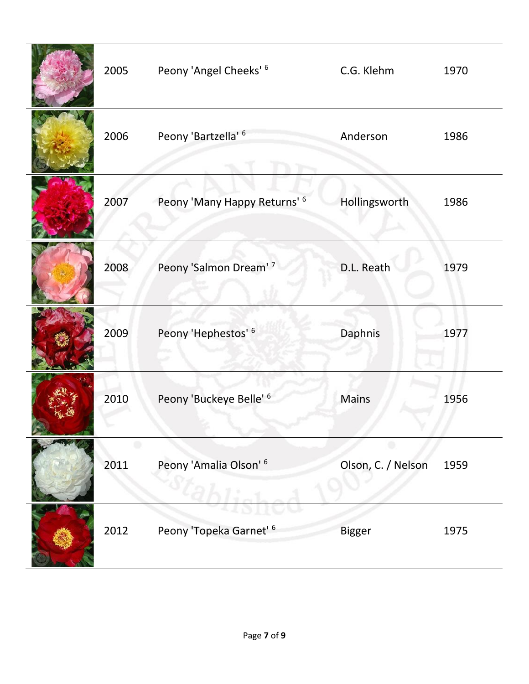| 2005 | Peony 'Angel Cheeks' <sup>6</sup>  | C.G. Klehm         | 1970 |
|------|------------------------------------|--------------------|------|
| 2006 | Peony 'Bartzella' 6                | Anderson           | 1986 |
| 2007 | Peony 'Many Happy Returns' 6       | Hollingsworth      | 1986 |
| 2008 | Peony 'Salmon Dream' 7             | D.L. Reath         | 1979 |
| 2009 | Peony 'Hephestos' 6                | Daphnis            | 1977 |
| 2010 | Peony 'Buckeye Belle' 6            | <b>Mains</b>       | 1956 |
| 2011 | Peony 'Amalia Olson' <sup>6</sup>  | Olson, C. / Nelson | 1959 |
| 2012 | Peony 'Topeka Garnet' <sup>6</sup> | <b>Bigger</b>      | 1975 |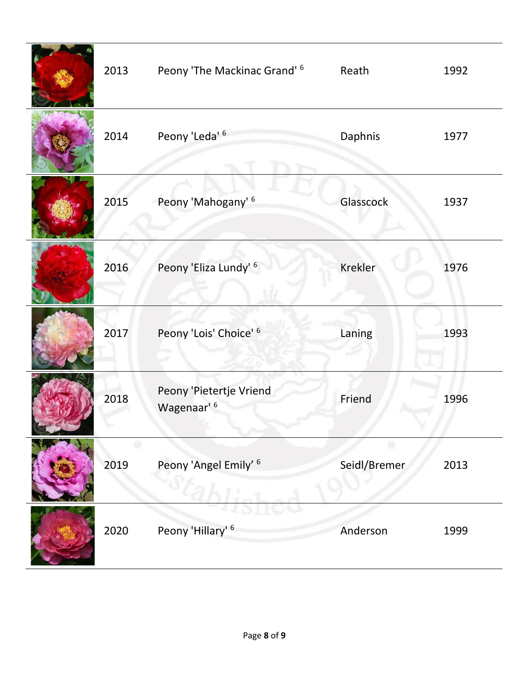| 2013 | Peony 'The Mackinac Grand' <sup>6</sup>           | Reath          | 1992 |
|------|---------------------------------------------------|----------------|------|
| 2014 | Peony 'Leda' <sup>6</sup>                         | Daphnis        | 1977 |
| 2015 | Peony 'Mahogany' <sup>6</sup>                     | Glasscock      | 1937 |
| 2016 | Peony 'Eliza Lundy' <sup>6</sup>                  | <b>Krekler</b> | 1976 |
| 2017 | Peony 'Lois' Choice' 6                            | Laning         | 1993 |
| 2018 | Peony 'Pietertje Vriend<br>Wagenaar' <sup>6</sup> | Friend         | 1996 |
| 2019 | Peony 'Angel Emily' <sup>6</sup>                  | Seidl/Bremer   | 2013 |
| 2020 | Peony 'Hillary' <sup>6</sup>                      | Anderson       | 1999 |